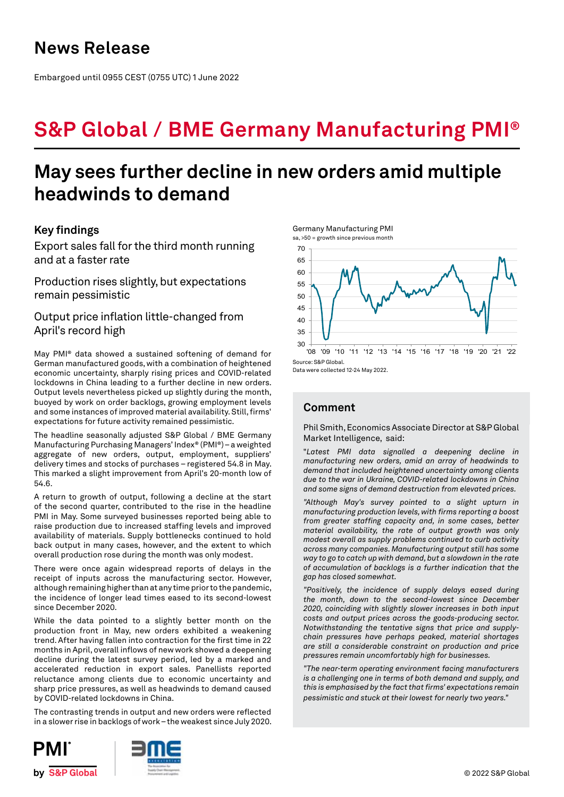Embargoed until 0955 CEST (0755 UTC) 1 June 2022

# **S&P Global / BME Germany Manufacturing PMI®**

## **May sees further decline in new orders amid multiple headwinds to demand**

## **Key findings**

Export sales fall for the third month running and at a faster rate

Production rises slightly, but expectations remain pessimistic

Output price inflation little-changed from April's record high

May PMI® data showed a sustained softening of demand for German manufactured goods, with a combination of heightened economic uncertainty, sharply rising prices and COVID-related lockdowns in China leading to a further decline in new orders. Output levels nevertheless picked up slightly during the month, buoyed by work on order backlogs, growing employment levels and some instances of improved material availability. Still, firms' expectations for future activity remained pessimistic.

The headline seasonally adjusted S&P Global / BME Germany Manufacturing Purchasing Managers' Index® (PMI®) – a weighted aggregate of new orders, output, employment, suppliers' delivery times and stocks of purchases – registered 54.8 in May. This marked a slight improvement from April's 20-month low of 54.6.

A return to growth of output, following a decline at the start of the second quarter, contributed to the rise in the headline PMI in May. Some surveyed businesses reported being able to raise production due to increased staffing levels and improved availability of materials. Supply bottlenecks continued to hold back output in many cases, however, and the extent to which overall production rose during the month was only modest.

There were once again widespread reports of delays in the receipt of inputs across the manufacturing sector. However, although remaining higher than at any time prior to the pandemic, the incidence of longer lead times eased to its second-lowest since December 2020.

While the data pointed to a slightly better month on the production front in May, new orders exhibited a weakening trend. After having fallen into contraction for the first time in 22 months in April, overall inflows of new work showed a deepening decline during the latest survey period, led by a marked and accelerated reduction in export sales. Panellists reported reluctance among clients due to economic uncertainty and sharp price pressures, as well as headwinds to demand caused by COVID-related lockdowns in China.

The contrasting trends in output and new orders were reflected in a slower rise in backlogs of work – the weakest since July 2020.





Data were collected 12-24 May 2022.

## **Comment**

Phil Smith, Economics Associate Director at S&P Global Market Intelligence, said:

"*Latest PMI data signalled a deepening decline in manufacturing new orders, amid an array of headwinds to demand that included heightened uncertainty among clients due to the war in Ukraine, COVID-related lockdowns in China and some signs of demand destruction from elevated prices.* 

*"Although May's survey pointed to a slight upturn in manufacturing production levels, with firms reporting a boost from greater staffing capacity and, in some cases, better material availability, the rate of output growth was only modest overall as supply problems continued to curb activity across many companies. Manufacturing output still has some way to go to catch up with demand, but a slowdown in the rate of accumulation of backlogs is a further indication that the gap has closed somewhat.* 

*"Positively, the incidence of supply delays eased during the month, down to the second-lowest since December 2020, coinciding with slightly slower increases in both input costs and output prices across the goods-producing sector. Notwithstanding the tentative signs that price and supplychain pressures have perhaps peaked, material shortages are still a considerable constraint on production and price pressures remain uncomfortably high for businesses.*

*"The near-term operating environment facing manufacturers is a challenging one in terms of both demand and supply, and this is emphasised by the fact that firms' expectations remain pessimistic and stuck at their lowest for nearly two years."*